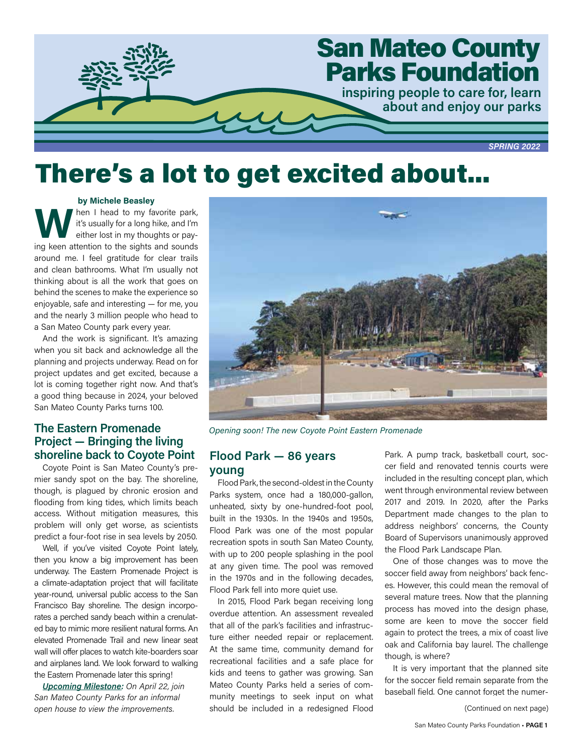

# There's a lot to get excited about...

### by Michele Beasley

When I head to my favorite park,<br>
it's usually for a long hike, and I'm<br>
either lost in my thoughts or pay-<br>
ing keep ottention to the cights and sounds it's usually for a long hike, and I'm ing keen attention to the sights and sounds around me. I feel gratitude for clear trails and clean bathrooms. What I'm usually not thinking about is all the work that goes on behind the scenes to make the experience so enjoyable, safe and interesting — for me, you and the nearly 3 million people who head to a San Mateo County park every year.

And the work is significant. It's amazing when you sit back and acknowledge all the planning and projects underway. Read on for project updates and get excited, because a lot is coming together right now. And that's a good thing because in 2024, your beloved San Mateo County Parks turns 100.

# The Eastern Promenade Project — Bringing the living shoreline back to Coyote Point

Coyote Point is San Mateo County's premier sandy spot on the bay. The shoreline, though, is plagued by chronic erosion and flooding from king tides, which limits beach access. Without mitigation measures, this problem will only get worse, as scientists predict a four-foot rise in sea levels by 2050.

Well, if you've visited Coyote Point lately, then you know a big improvement has been underway. The Eastern Promenade Project is a climate-adaptation project that will facilitate year-round, universal public access to the San Francisco Bay shoreline. The design incorporates a perched sandy beach within a crenulated bay to mimic more resilient natural forms. An elevated Promenade Trail and new linear seat wall will offer places to watch kite-boarders soar and airplanes land. We look forward to walking the Eastern Promenade later this spring!

Upcoming Milestone: On April 22, join San Mateo County Parks for an informal open house to view the improvements.



Opening soon! The new Coyote Point Eastern Promenade

# Flood Park — 86 years young

Flood Park, the second-oldest in the County Parks system, once had a 180,000-gallon, unheated, sixty by one-hundred-foot pool, built in the 1930s. In the 1940s and 1950s, Flood Park was one of the most popular recreation spots in south San Mateo County, with up to 200 people splashing in the pool at any given time. The pool was removed in the 1970s and in the following decades, Flood Park fell into more quiet use.

In 2015, Flood Park began receiving long overdue attention. An assessment revealed that all of the park's facilities and infrastructure either needed repair or replacement. At the same time, community demand for recreational facilities and a safe place for kids and teens to gather was growing. San Mateo County Parks held a series of community meetings to seek input on what should be included in a redesigned Flood

Park. A pump track, basketball court, soccer field and renovated tennis courts were included in the resulting concept plan, which went through environmental review between 2017 and 2019. In 2020, after the Parks Department made changes to the plan to address neighbors' concerns, the County Board of Supervisors unanimously approved the Flood Park Landscape Plan.

One of those changes was to move the soccer field away from neighbors' back fences. However, this could mean the removal of several mature trees. Now that the planning process has moved into the design phase, some are keen to move the soccer field again to protect the trees, a mix of coast live oak and California bay laurel. The challenge though, is where?

It is very important that the planned site for the soccer field remain separate from the baseball field. One cannot forget the numer-

(Continued on next page)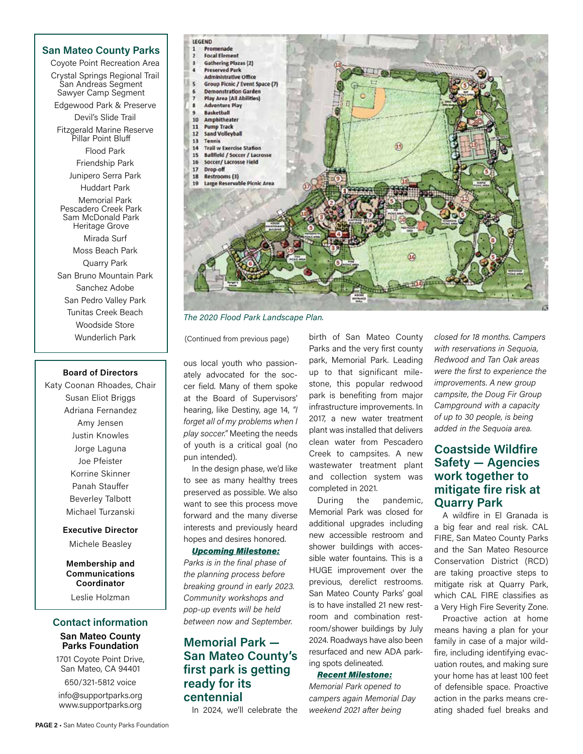San Mateo County Parks Coyote Point Recreation Area Crystal Springs Regional Trail San Andreas Segment Sawyer Camp Segment Edgewood Park & Preserve Devil's Slide Trail Fitzgerald Marine Reserve Pillar Point Bluff Flood Park Friendship Park Junipero Serra Park Huddart Park Memorial Park Pescadero Creek Park Sam McDonald Park Heritage Grove Mirada Surf Moss Beach Park Quarry Park San Bruno Mountain Park Sanchez Adobe San Pedro Valley Park Tunitas Creek Beach Woodside Store Wunderlich Park

### Board of Directors

Katy Coonan Rhoades, Chair Susan Eliot Briggs Adriana Fernandez Amy Jensen Justin Knowles Jorge Laguna Joe Pfeister Korrine Skinner Panah Stauffer Beverley Talbott Michael Turzanski

### Executive Director Michele Beasley

Membership and

Communications Coordinator

Leslie Holzman

### Contact information San Mateo County Parks Foundation

1701 Coyote Point Drive, San Mateo, CA 94401

650/321-5812 voice info@supportparks.org www.supportparks.org



The 2020 Flood Park Landscape Plan.

(Continued from previous page)

ous local youth who passionately advocated for the soccer field. Many of them spoke at the Board of Supervisors' hearing, like Destiny, age 14, "I forget all of my problems when I play soccer." Meeting the needs of youth is a critical goal (no pun intended).

In the design phase, we'd like to see as many healthy trees preserved as possible. We also want to see this process move forward and the many diverse interests and previously heard hopes and desires honored.

### Upcoming Milestone:

Parks is in the final phase of the planning process before breaking ground in early 2023. Community workshops and pop-up events will be held between now and September.

# Memorial Park — San Mateo County's first park is getting ready for its centennial

In 2024, we'll celebrate the

birth of San Mateo County Parks and the very first county park, Memorial Park. Leading up to that significant milestone, this popular redwood park is benefiting from major infrastructure improvements. In 2017, a new water treatment plant was installed that delivers clean water from Pescadero Creek to campsites. A new wastewater treatment plant and collection system was completed in 2021.

During the pandemic, Memorial Park was closed for additional upgrades including new accessible restroom and shower buildings with accessible water fountains. This is a HUGE improvement over the previous, derelict restrooms. San Mateo County Parks' goal is to have installed 21 new restroom and combination restroom/shower buildings by July 2024. Roadways have also been resurfaced and new ADA parking spots delineated.

### Recent Milestone:

Memorial Park opened to campers again Memorial Day weekend 2021 after being

closed for 18 months. Campers with reservations in Sequoia, Redwood and Tan Oak areas were the first to experience the improvements. A new group campsite, the Doug Fir Group Campground with a capacity of up to 30 people, is being added in the Sequoia area.

# Coastside Wildfire Safety — Agencies work together to mitigate fire risk at Quarry Park

A wildfire in El Granada is a big fear and real risk. CAL FIRE, San Mateo County Parks and the San Mateo Resource Conservation District (RCD) are taking proactive steps to mitigate risk at Quarry Park, which CAL FIRE classifies as a Very High Fire Severity Zone.

Proactive action at home means having a plan for your family in case of a major wildfire, including identifying evacuation routes, and making sure your home has at least 100 feet of defensible space. Proactive action in the parks means creating shaded fuel breaks and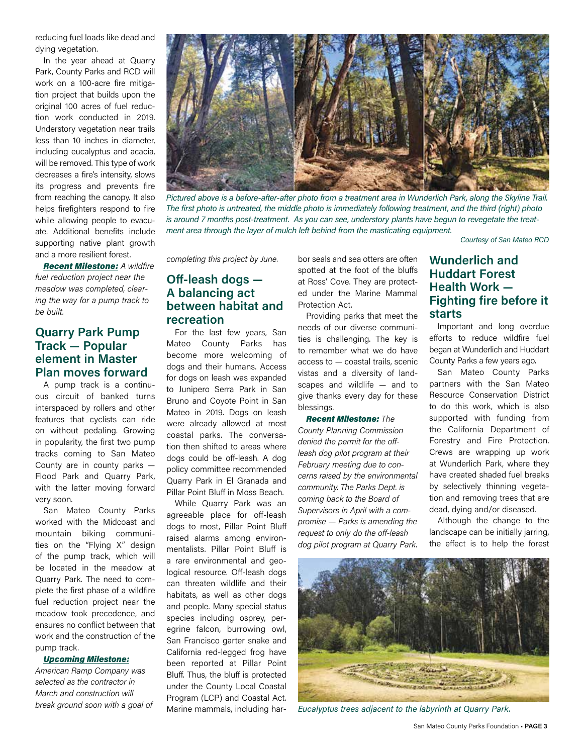reducing fuel loads like dead and dying vegetation.

In the year ahead at Quarry Park, County Parks and RCD will work on a 100-acre fire mitigation project that builds upon the original 100 acres of fuel reduction work conducted in 2019. Understory vegetation near trails less than 10 inches in diameter, including eucalyptus and acacia, will be removed. This type of work decreases a fire's intensity, slows its progress and prevents fire from reaching the canopy. It also helps firefighters respond to fire while allowing people to evacuate. Additional benefits include supporting native plant growth and a more resilient forest.

**Recent Milestone: A wildfire** fuel reduction project near the meadow was completed, clearing the way for a pump track to be built.

# Quarry Park Pump Track — Popular element in Master Plan moves forward

A pump track is a continuous circuit of banked turns interspaced by rollers and other features that cyclists can ride on without pedaling. Growing in popularity, the first two pump tracks coming to San Mateo County are in county parks — Flood Park and Quarry Park, with the latter moving forward very soon.

San Mateo County Parks worked with the Midcoast and mountain biking communities on the "Flying X" design of the pump track, which will be located in the meadow at Quarry Park. The need to complete the first phase of a wildfire fuel reduction project near the meadow took precedence, and ensures no conflict between that work and the construction of the pump track.

### Upcoming Milestone:

American Ramp Company was selected as the contractor in March and construction will break ground soon with a goal of



Pictured above is a before-after-after photo from a treatment area in Wunderlich Park, along the Skyline Trail. The first photo is untreated, the middle photo is immediately following treatment, and the third (right) photo is around 7 months post-treatment. As you can see, understory plants have begun to revegetate the treatment area through the layer of mulch left behind from the masticating equipment.

Courtesy of San Mateo RCD

completing this project by June.

# Off-leash dogs — A balancing act between habitat and recreation

For the last few years, San Mateo County Parks has become more welcoming of dogs and their humans. Access for dogs on leash was expanded to Junipero Serra Park in San Bruno and Coyote Point in San Mateo in 2019. Dogs on leash were already allowed at most coastal parks. The conversation then shifted to areas where dogs could be off-leash. A dog policy committee recommended Quarry Park in El Granada and Pillar Point Bluff in Moss Beach.

While Quarry Park was an agreeable place for off-leash dogs to most, Pillar Point Bluff raised alarms among environmentalists. Pillar Point Bluff is a rare environmental and geological resource. Off-leash dogs can threaten wildlife and their habitats, as well as other dogs and people. Many special status species including osprey, peregrine falcon, burrowing owl, San Francisco garter snake and California red-legged frog have been reported at Pillar Point Bluff. Thus, the bluff is protected under the County Local Coastal Program (LCP) and Coastal Act. Marine mammals, including harbor seals and sea otters are often spotted at the foot of the bluffs at Ross' Cove. They are protected under the Marine Mammal Protection Act.

Providing parks that meet the needs of our diverse communities is challenging. The key is to remember what we do have access to — coastal trails, scenic vistas and a diversity of landscapes and wildlife — and to give thanks every day for these blessings.

**Recent Milestone: The** County Planning Commission denied the permit for the offleash dog pilot program at their February meeting due to concerns raised by the environmental community. The Parks Dept. is coming back to the Board of Supervisors in April with a compromise — Parks is amending the request to only do the off-leash dog pilot program at Quarry Park.

# Wunderlich and Huddart Forest Health Work — Fighting fire before it starts

Important and long overdue efforts to reduce wildfire fuel began at Wunderlich and Huddart County Parks a few years ago.

San Mateo County Parks partners with the San Mateo Resource Conservation District to do this work, which is also supported with funding from the California Department of Forestry and Fire Protection. Crews are wrapping up work at Wunderlich Park, where they have created shaded fuel breaks by selectively thinning vegetation and removing trees that are dead, dying and/or diseased.

Although the change to the landscape can be initially jarring, the effect is to help the forest



Eucalyptus trees adjacent to the labyrinth at Quarry Park.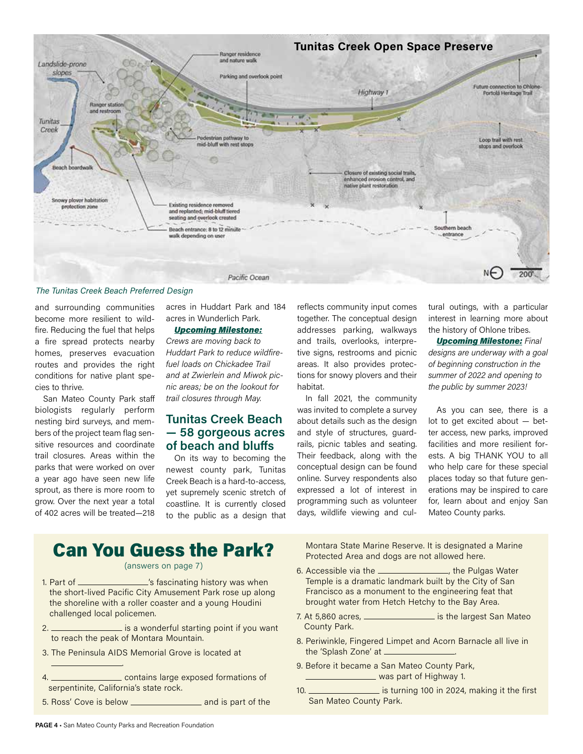

### The Tunitas Creek Beach Preferred Design

and surrounding communities become more resilient to wildfire. Reducing the fuel that helps a fire spread protects nearby homes, preserves evacuation routes and provides the right conditions for native plant species to thrive.

San Mateo County Park staff biologists regularly perform nesting bird surveys, and members of the project team flag sensitive resources and coordinate trail closures. Areas within the parks that were worked on over a year ago have seen new life sprout, as there is more room to grow. Over the next year a total of 402 acres will be treated—218 acres in Huddart Park and 184 acres in Wunderlich Park.

### Upcoming Milestone: Crews are moving back to

Huddart Park to reduce wildfirefuel loads on Chickadee Trail and at Zwierlein and Miwok picnic areas; be on the lookout for trail closures through May.

# Tunitas Creek Beach — 58 gorgeous acres of beach and bluffs

On its way to becoming the newest county park, Tunitas Creek Beach is a hard-to-access, yet supremely scenic stretch of coastline. It is currently closed to the public as a design that

reflects community input comes together. The conceptual design addresses parking, walkways and trails, overlooks, interpretive signs, restrooms and picnic areas. It also provides protections for snowy plovers and their habitat.

In fall 2021, the community was invited to complete a survey about details such as the design and style of structures, guardrails, picnic tables and seating. Their feedback, along with the conceptual design can be found online. Survey respondents also expressed a lot of interest in programming such as volunteer days, wildlife viewing and cultural outings, with a particular interest in learning more about the history of Ohlone tribes.

**Upcoming Milestone: Final** designs are underway with a goal of beginning construction in the summer of 2022 and opening to the public by summer 2023!

As you can see, there is a lot to get excited about — better access, new parks, improved facilities and more resilient forests. A big THANK YOU to all who help care for these special places today so that future generations may be inspired to care for, learn about and enjoy San Mateo County parks.

# Can You Guess the Park?

### (answers on page 7)

- 1. Part of  $\frac{1}{1}$  Part of  $\frac{1}{1}$  fascinating history was when the short-lived Pacific City Amusement Park rose up along the shoreline with a roller coaster and a young Houdini challenged local policemen.
- 2. **include 2.** is a wonderful starting point if you want to reach the peak of Montara Mountain.
- 3. The Peninsula AIDS Memorial Grove is located at

4. contains large exposed formations of serpentinite, California's state rock.

5. Ross' Cove is below \_\_\_\_\_\_\_\_\_\_\_\_\_\_\_\_\_\_\_\_\_ and is part of the

Montara State Marine Reserve. It is designated a Marine Protected Area and dogs are not allowed here.

- 6. Accessible via the \_\_\_\_\_\_\_\_\_\_\_\_\_\_\_\_\_, the Pulgas Water Temple is a dramatic landmark built by the City of San Francisco as a monument to the engineering feat that brought water from Hetch Hetchy to the Bay Area.
- 7. At 5,860 acres, **increase and its the largest San Mateo** County Park.
- 8. Periwinkle, Fingered Limpet and Acorn Barnacle all live in the 'Splash Zone' at .
- 9. Before it became a San Mateo County Park, was part of Highway 1.
- 10. **interest 2024**, making it the first San Mateo County Park.

.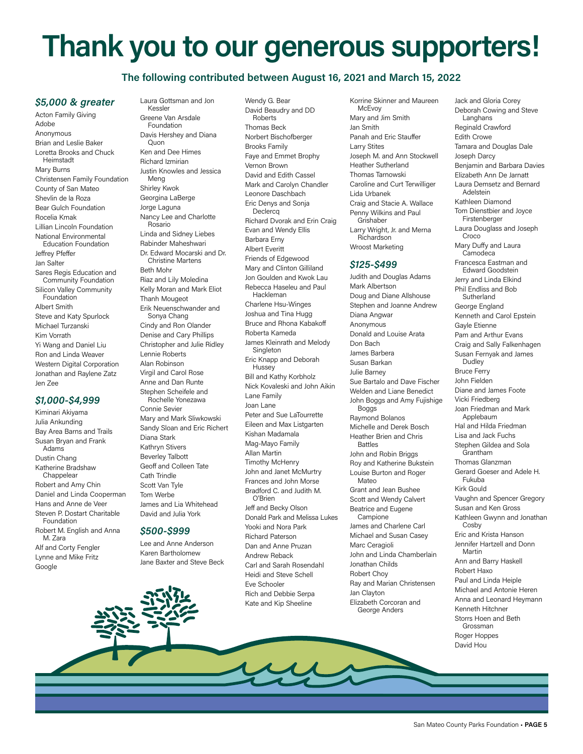# Thank you to our generous supporters!

### The following contributed between August 16, 2021 and March 15, 2022

### \$5,000 & greater

Acton Family Giving Adobe Anonymous Brian and Leslie Baker Loretta Brooks and Chuck Heimstadt Mary Burns Christensen Family Foundation County of San Mateo Shevlin de la Roza Bear Gulch Foundation Rocelia Kmak Lillian Lincoln Foundation National Environmental Education Foundation Jeffrey Pfeffer Jan Salter Sares Regis Education and Community Foundation Silicon Valley Community Foundation Albert Smith Steve and Katy Spurlock Michael Turzanski Kim Vorrath Yi Wang and Daniel Liu Ron and Linda Weaver Western Digital Corporation Jonathan and Raylene Zatz Jen Zee \$1,000-\$4,999 Kiminari Akiyama Julia Ankunding Bay Area Barns and Trails Susan Bryan and Frank

Adams Dustin Chang Katherine Bradshaw Chappelear Robert and Amy Chin Daniel and Linda Cooperman Hans and Anne de Veer Steven P. Dostart Charitable Foundation Robert M. English and Anna M. Zara Alf and Corty Fengler Lynne and Mike Fritz Google

Laura Gottsman and Jon Kessler Greene Van Arsdale Foundation Davis Hershey and Diana Quon Ken and Dee Himes Richard Izmirian Justin Knowles and Jessica Meng Shirley Kwok Georgina LaBerge Jorge Laguna Nancy Lee and Charlotte Rosario Linda and Sidney Liebes Rabinder Maheshwari Dr. Edward Mocarski and Dr. Christine Martens Beth Mohr Riaz and Lily Moledina Kelly Moran and Mark Eliot Thanh Mougeot Erik Neuenschwander and Sonya Chang Cindy and Ron Olander Denise and Cary Phillips Christopher and Julie Ridley Lennie Roberts Alan Robinson Virgil and Carol Rose Anne and Dan Runte Stephen Scheifele and Rochelle Yonezawa Connie Sevier Mary and Mark Sliwkowski Sandy Sloan and Eric Richert Diana Stark Kathryn Stivers Beverley Talbott Geoff and Colleen Tate

Cath Trindle Scott Van Tyle Tom Werbe James and Lia Whitehead David and Julia York

### \$500-\$999

Lee and Anne Anderson Karen Bartholomew Jane Baxter and Steve Beck

Wendy G. Bear David Beaudry and DD Roberts Thomas Beck Norbert Bischofberger Brooks Family Faye and Emmet Brophy Vernon Brown David and Edith Cassel Mark and Carolyn Chandler Leonore Daschbach Eric Denys and Sonja **Declerca** Richard Dvorak and Erin Craig Evan and Wendy Ellis Barbara Erny Albert Everitt Friends of Edgewood Mary and Clinton Gilliland Jon Goulden and Kwok Lau Rebecca Haseleu and Paul Hackleman Charlene Hsu-Winges Joshua and Tina Hugg Bruce and Rhona Kabakoff Roberta Kameda James Kleinrath and Melody **Singleton** Eric Knapp and Deborah **Hussey** Bill and Kathy Korbholz Nick Kovaleski and John Aikin Lane Family Joan Lane Peter and Sue LaTourrette Eileen and Max Listgarten Kishan Madamala Mag-Mayo Family Allan Martin Timothy McHenry John and Janet McMurtry Frances and John Morse Bradford C. and Judith M. O'Brien Jeff and Becky Olson Donald Park and Melissa Lukes Yooki and Nora Park Richard Paterson Dan and Anne Pruzan Andrew Reback Carl and Sarah Rosendahl Heidi and Steve Schell Eve Schooler Rich and Debbie Serpa Kate and Kip Sheeline

Korrine Skinner and Maureen McEvoy Mary and Jim Smith Jan Smith Panah and Eric Stauffer Larry Stites Joseph M. and Ann Stockwell Heather Sutherland Thomas Tarnowski Caroline and Curt Terwilliger Lida Urbanek Craig and Stacie A. Wallace Penny Wilkins and Paul Grishaber Larry Wright, Jr. and Merna Richardson Wroost Marketing

### \$125-\$499

Judith and Douglas Adams Mark Albertson Doug and Diane Allshouse Stephen and Joanne Andrew Diana Angwar Anonymous Donald and Louise Arata Don Bach James Barbera Susan Barkan Julie Barney Sue Bartalo and Dave Fischer Welden and Liane Benedict John Boggs and Amy Fujishige Boggs Raymond Bolanos Michelle and Derek Bosch Heather Brien and Chris Battles John and Robin Briggs Roy and Katherine Bukstein Louise Burton and Roger Mateo Grant and Jean Bushee Scott and Wendy Calvert Beatrice and Eugene **Campione** James and Charlene Carl Michael and Susan Casey Marc Ceragioli John and Linda Chamberlain Jonathan Childs Robert Choy Ray and Marian Christensen Jan Clayton Elizabeth Corcoran and George Anders

Jack and Gloria Corey Deborah Cowing and Steve Langhans Reginald Crawford Edith Crowe Tamara and Douglas Dale Joseph Darcy Benjamin and Barbara Davies Elizabeth Ann De Jarnatt Laura Demsetz and Bernard Adelstein Kathleen Diamond Tom Dienstbier and Joyce Firstenberger Laura Douglass and Joseph Croco Mary Duffy and Laura Camodeca Francesca Eastman and Edward Goodstein Jerry and Linda Elkind Phil Endliss and Bob **Sutherland** George England Kenneth and Carol Epstein Gayle Etienne Pam and Arthur Evans Craig and Sally Falkenhagen Susan Fernyak and James Dudley Bruce Ferry John Fielden Diane and James Foote Vicki Friedberg Joan Friedman and Mark Applebaum Hal and Hilda Friedman Lisa and Jack Fuchs Stephen Gildea and Sola Grantham Thomas Glanzman Gerard Goeser and Adele H. Fukuba Kirk Gould Vaughn and Spencer Gregory Susan and Ken Gross Kathleen Gwynn and Jonathan Cosby Eric and Krista Hanson Jennifer Hartzell and Donn Martin Ann and Barry Haskell Robert Haxo Paul and Linda Heiple Michael and Antonie Heren Anna and Leonard Heymann Kenneth Hitchner Storrs Hoen and Beth Grossman Roger Hoppes

David Hou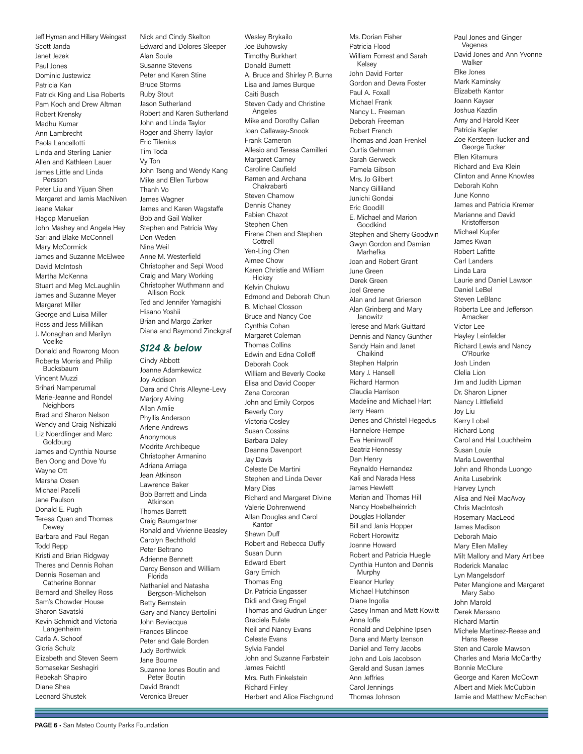Jeff Hyman and Hillary Weingast Scott Janda Janet Jezek Paul Jones Dominic Justewicz Patricia Kan Patrick King and Lisa Roberts Pam Koch and Drew Altman Robert Krensky Madhu Kumar Ann Lambrecht Paola Lancellotti Linda and Sterling Lanier Allen and Kathleen Lauer James Little and Linda Persson Peter Liu and Yijuan Shen Margaret and Jamis MacNiven Jeane Makar Hagop Manuelian John Mashey and Angela Hey Sari and Blake McConnell Mary McCormick James and Suzanne McElwee David McIntosh Martha McKenna Stuart and Meg McLaughlin James and Suzanne Meyer Margaret Miller George and Luisa Miller Ross and Jess Millikan J. Monaghan and Marilyn Voelke Donald and Rowrong Moon Roberta Morris and Philip Bucksbaum Vincent Muzzi Srihari Namperumal Marie-Jeanne and Rondel **Neighbors** Brad and Sharon Nelson Wendy and Craig Nishizaki Liz Noerdlinger and Marc Goldburg James and Cynthia Nourse Ben Oong and Dove Yu Wayne Ott Marsha Oxsen Michael Pacelli Jane Paulson Donald E. Pugh Teresa Quan and Thomas Dewey Barbara and Paul Regan Todd Repp Kristi and Brian Ridgway Theres and Dennis Rohan Dennis Roseman and Catherine Bonnar Bernard and Shelley Ross Sam's Chowder House Sharon Savatski Kevin Schmidt and Victoria Langenheim Carla A. Schoof

Gloria Schulz Elizabeth and Steven Seem Somasekar Seshagiri Rebekah Shapiro Diane Shea

Leonard Shustek

Nick and Cindy Skelton Edward and Dolores Sleeper Alan Soule Susanne Stevens Peter and Karen Stine Bruce Storms Ruby Stout Jason Sutherland Robert and Karen Sutherland John and Linda Taylor Roger and Sherry Taylor Eric Tilenius Tim Toda Vy Ton John Tseng and Wendy Kang Mike and Ellen Turbow Thanh Vo James Wagner James and Karen Wagstaffe Bob and Gail Walker Stephen and Patricia Way Don Weden Nina Weil Anne M. Westerfield Christopher and Sepi Wood Craig and Mary Working Christopher Wuthmann and Allison Rock Ted and Jennifer Yamagishi Hisano Yoshii Brian and Margo Zarker Diana and Raymond Zinckgraf

### \$124 & below

Cindy Abbott Joanne Adamkewicz Joy Addison Dara and Chris Alleyne-Levy Marjory Alving Allan Amlie Phyllis Anderson Arlene Andrews Anonymous Modrite Archibeque Christopher Armanino Adriana Arriaga Jean Atkinson Lawrence Baker Bob Barrett and Linda Atkinson Thomas Barrett Craig Baumgartner Ronald and Vivienne Beasley Carolyn Bechthold Peter Beltrano Adrienne Bennett Darcy Benson and William Florida Nathaniel and Natasha Bergson-Michelson Betty Bernstein Gary and Nancy Bertolini John Beviacqua Frances Blincoe Peter and Gale Borden Judy Borthwick Jane Bourne Suzanne Jones Boutin and Peter Boutin David Brandt Veronica Breuer

Wesley Brykailo Joe Buhowsky Timothy Burkhart Donald Burnett A. Bruce and Shirley P. Burns Lisa and James Burque Caiti Busch Steven Cady and Christine **Angeles** Mike and Dorothy Callan Joan Callaway-Snook Frank Cameron Allesio and Teresa Camilleri Margaret Carney Caroline Caufield Ramen and Archana Chakrabarti Steven Chamow Dennis Chaney Fabien Chazot Stephen Chen Eirene Chen and Stephen Cottrell Yen-Ling Chen Aimee Chow Karen Christie and William **Hickey** Kelvin Chukwu Edmond and Deborah Chun B. Michael Closson Bruce and Nancy Coe Cynthia Cohan Margaret Coleman Thomas Collins Edwin and Edna Colloff Deborah Cook William and Beverly Cooke Elisa and David Cooper Zena Corcoran John and Emily Corpos Beverly Cory Victoria Cosley Susan Cossins Barbara Daley Deanna Davenport Jay Davis Celeste De Martini Stephen and Linda Dever Mary Dias Richard and Margaret Divine Valerie Dohrenwend Allan Douglas and Carol Kantor Shawn Duff Robert and Rebecca Duffy Susan Dunn Edward Ebert Gary Emich Thomas Eng Dr. Patricia Engasser Didi and Greg Engel Thomas and Gudrun Enger Graciela Eulate Neil and Nancy Evans Celeste Evans Sylvia Fandel John and Suzanne Farbstein James Feichtl Mrs. Ruth Finkelstein Richard Finley Herbert and Alice Fischgrund Ms. Dorian Fisher Patricia Flood William Forrest and Sarah Kelsey John David Forter Gordon and Devra Foster Paul A. Foxall Michael Frank Nancy L. Freeman Deborah Freeman Robert French Thomas and Joan Frenkel Curtis Gehman Sarah Gerweck Pamela Gibson Mrs. Jo Gilbert Nancy Gilliland Junichi Gondai Eric Goodill E. Michael and Marion Goodkind Stephen and Sherry Goodwin Gwyn Gordon and Damian Marhefka Joan and Robert Grant June Green Derek Green Joel Greene Alan and Janet Grierson Alan Grinberg and Mary Janowitz Terese and Mark Guittard Dennis and Nancy Gunther Sandy Hain and Janet Chaikind Stephen Halprin Mary J. Hansell Richard Harmon Claudia Harrison Madeline and Michael Hart Jerry Hearn Denes and Christel Hegedus Hannelore Hempe Eva Heninwolf Beatriz Hennessy Dan Henry Reynaldo Hernandez Kali and Narada Hess James Hewlett Marian and Thomas Hill Nancy Hoebelheinrich Douglas Hollander Bill and Janis Hopper Robert Horowitz Joanne Howard Robert and Patricia Huegle Cynthia Hunton and Dennis Murphy Eleanor Hurley Michael Hutchinson Diane Ingolia Casey Inman and Matt Kowitt Anna Ioffe Ronald and Delphine Ipsen Dana and Marty Izenson Daniel and Terry Jacobs John and Lois Jacobson Gerald and Susan James Ann Jeffries Carol Jennings Thomas Johnson

Paul Jones and Ginger Vagenas David Jones and Ann Yvonne Walker Elke Jones Mark Kaminsky Elizabeth Kantor Joann Kayser Joshua Kazdin Amy and Harold Keer Patricia Kepler Zoe Kersteen-Tucker and George Tucker Ellen Kitamura Richard and Eva Klein Clinton and Anne Knowles Deborah Kohn June Konno James and Patricia Kremer Marianne and David Kristofferson Michael Kupfer James Kwan Robert Lafitte Carl Landers Linda Lara Laurie and Daniel Lawson Daniel LeBel Steven LeBlanc Roberta Lee and Jefferson Amacker Victor Lee Hayley Leinfelder Richard Lewis and Nancy O'Rourke Josh Linden Clelia Lion Jim and Judith Lipman Dr. Sharon Lipner Nancy Littlefield Joy Liu Kerry Lobel Richard Long Carol and Hal Louchheim Susan Louie Marla Lowenthal John and Rhonda Luongo Anita Lusebrink Harvey Lynch Alisa and Neil MacAvoy Chris MacIntosh Rosemary MacLeod James Madison Deborah Maio Mary Ellen Malley Milt Mallory and Mary Artibee Roderick Manalac Lyn Mangelsdorf Peter Mangione and Margaret Mary Sabo John Marold Derek Marsano Richard Martin Michele Martinez-Reese and Hans Reese Sten and Carole Mawson Charles and Maria McCarthy Bonnie McClure George and Karen McCown Albert and Miek McCubbin Jamie and Matthew McEachen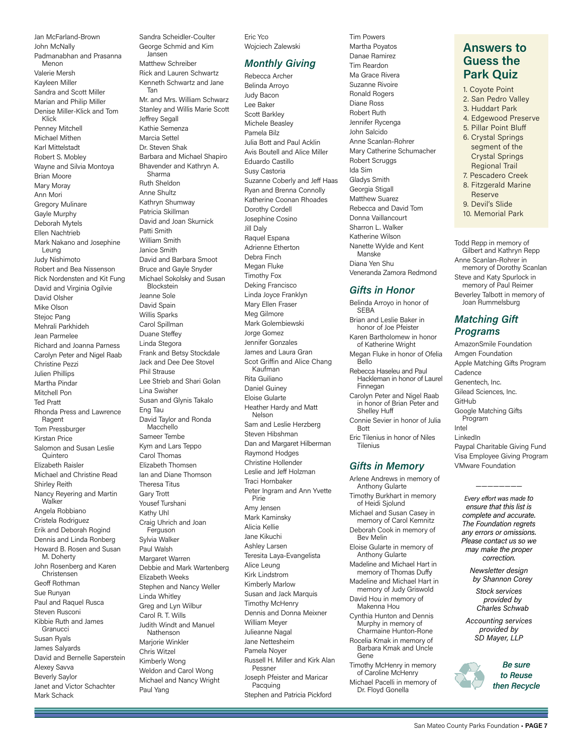Jan McFarland-Brown John McNally Padmanabhan and Prasanna Menon Valerie Mersh Kayleen Miller Sandra and Scott Miller Marian and Philip Miller Denise Miller-Klick and Tom Klick Penney Mitchell Michael Mithen Karl Mittelstadt Robert S. Mobley Wayne and Silvia Montoya Brian Moore Mary Moray Ann Mori Gregory Mulinare Gayle Murphy Deborah Mytels Ellen Nachtrieb Mark Nakano and Josephine Leung Judy Nishimoto Robert and Bea Nissenson Rick Nordensten and Kit Fung David and Virginia Ogilvie David Olsher Mike Olson Stejoc Pang Mehrali Parkhideh Jean Parmelee Richard and Joanna Parness Carolyn Peter and Nigel Raab Christine Pezzi Julien Phillips Martha Pindar Mitchell Pon Ted Pratt Rhonda Press and Lawrence Ragent Tom Pressburger Kirstan Price Salomon and Susan Leslie **Ouintero** Elizabeth Raisler Michael and Christine Read Shirley Reith Nancy Reyering and Martin Walker Angela Robbiano Cristela Rodriguez Erik and Deborah Rogind Dennis and Linda Ronberg Howard B. Rosen and Susan M. Doherty John Rosenberg and Karen Christensen Geoff Rothman Sue Runyan Paul and Raquel Rusca Steven Rusconi Kibbie Ruth and James Granucci Susan Ryals James Salyards David and Bernelle Saperstein Alexey Savva Beverly Saylor Janet and Victor Schachter Mark Schack

George Schmid and Kim Jansen Matthew Schreiber Rick and Lauren Schwartz Kenneth Schwartz and Jane Tan Mr. and Mrs. William Schwarz Stanley and Willis Marie Scott Jeffrey Segall Kathie Semenza Marcia Settel Dr. Steven Shak Barbara and Michael Shapiro Bhavender and Kathryn A. Sharma Ruth Sheldon Anne Shultz Kathryn Shumway Patricia Skillman David and Joan Skurnick Patti Smith William Smith Janice Smith David and Barbara Smoot Bruce and Gayle Snyder Michael Sokolsky and Susan Blockstein Jeanne Sole David Spain Willis Sparks Carol Spillman Duane Steffey Linda Stegora Frank and Betsy Stockdale Jack and Dee Dee Stovel Phil Strause Lee Strieb and Shari Golan Lina Swisher Susan and Glynis Takalo Eng Tau David Taylor and Ronda Macchello Sameer Tembe Kym and Lars Teppo Carol Thomas Elizabeth Thomsen Ian and Diane Thomson Theresa Titus Gary Trott Yousef Turshani Kathy Uhl Craig Uhrich and Joan Ferguson Sylvia Walker Paul Walsh Margaret Warren Debbie and Mark Wartenberg Elizabeth Weeks Stephen and Nancy Weller Linda Whitley Greg and Lyn Wilbur Carol R. T. Wills Judith Windt and Manuel Nathenson Marjorie Winkler Chris Witzel Kimberly Wong Weldon and Carol Wong Michael and Nancy Wright Paul Yang

Sandra Scheidler-Coulter

Eric Yco Wojciech Zalewski

### Monthly Giving

Rebecca Archer Belinda Arroyo Judy Bacon Lee Baker Scott Barkley Michele Beasley Pamela Bilz Julia Bott and Paul Acklin Avis Boutell and Alice Miller Eduardo Castillo Susy Castoria Suzanne Coberly and Jeff Haas Ryan and Brenna Connolly Katherine Coonan Rhoades Dorothy Cordell Josephine Cosino Jill Daly Raquel Espana Adrienne Etherton Debra Finch Megan Fluke Timothy Fox Deking Francisco Linda Joyce Franklyn Mary Ellen Fraser Meg Gilmore Mark Golembiewski Jorge Gomez Jennifer Gonzales James and Laura Gran Scot Griffin and Alice Chang Kaufman Rita Guiliano Daniel Guiney Eloise Gularte Heather Hardy and Matt Nelson Sam and Leslie Herzberg Steven Hibshman Dan and Margaret Hilberman Raymond Hodges Christine Hollender Leslie and Jeff Holzman Traci Hornbaker Peter Ingram and Ann Yvette Pirie Amy Jensen Mark Kaminsky Alicia Kellie Jane Kikuchi Ashley Larsen Teresita Laya-Evangelista Alice Leung Kirk Lindstrom Kimberly Marlow Susan and Jack Marquis Timothy McHenry Dennis and Donna Meixner William Meyer Julieanne Nagal Jane Nettesheim Pamela Noyer Russell H. Miller and Kirk Alan Pessner Joseph Pfeister and Maricar **Pacquing** Stephen and Patricia Pickford

Tim Powers Martha Poyatos Danae Ramirez Tim Reardon Ma Grace Rivera Suzanne Rivoire Ronald Rogers Diane Ross Robert Ruth Jennifer Rycenga John Salcido Anne Scanlan-Rohrer Mary Catherine Schumacher Robert Scruggs Ida Sim Gladys Smith Georgia Stigall Matthew Suarez Rebecca and David Tom Donna Vaillancourt Sharron L. Walker Katherine Wilson Nanette Wylde and Kent Manske Diana Yen Shu Veneranda Zamora Redmond

### Gifts in Honor

Belinda Arroyo in honor of **SFRA** Brian and Leslie Baker in honor of Joe Pfeister Karen Bartholomew in honor of Katherine Wright Megan Fluke in honor of Ofelia Bello Rebecca Haseleu and Paul Hackleman in honor of Laurel Finnegan Carolyn Peter and Nigel Raab in honor of Brian Peter and Shelley Huff Connie Sevier in honor of Julia **Bott** Eric Tilenius in honor of Niles Tilenius Gifts in Memory Arlene Andrews in memory of

Anthony Gularte Timothy Burkhart in memory of Heidi Sjolund Michael and Susan Casey in memory of Carol Kemnitz Deborah Cook in memory of Bev Melin Eloise Gularte in memory of Anthony Gularte Madeline and Michael Hart in memory of Thomas Duffy Madeline and Michael Hart in memory of Judy Griswold David Hou in memory of Makenna Hou Cynthia Hunton and Dennis Murphy in memory of Charmaine Hunton-Rone Rocelia Kmak in memory of Barbara Kmak and Uncle Gene Timothy McHenry in memory of Caroline McHenry Michael Pacelli in memory of Dr. Floyd Gonella

# Answers to Guess the Park Quiz

1. Coyote Point 2. San Pedro Valley

- 3. Huddart Park
- 
- 4. Edgewood Preserve
- 5. Pillar Point Bluff
- 6. Crystal Springs segment of the Crystal Springs Regional Trail
- 7. Pescadero Creek
- 8. Fitzgerald Marine
- Reserve 9. Devil's Slide
- 10. Memorial Park
- Todd Repp in memory of Gilbert and Kathryn Repp Anne Scanlan-Rohrer in memory of Dorothy Scanlan Steve and Katy Spurlock in memory of Paul Reimer Beverley Talbott in memory of Joan Rummelsburg

### Matching Gift Programs

AmazonSmile Foundation Amgen Foundation Apple Matching Gifts Program Cadence Genentech, Inc. Gilead Sciences, Inc. GitHub Google Matching Gifts Program Intel LinkedIn Paypal Charitable Giving Fund Visa Employee Giving Program VMware Foundation

Every effort was made to ensure that this list is complete and accurate. The Foundation regrets any errors or omissions. Please contact us so we may make the proper correction.

————————

Newsletter design by Shannon Corey

Stock services provided by Charles Schwab

Accounting services provided by SD Mayer, LLP